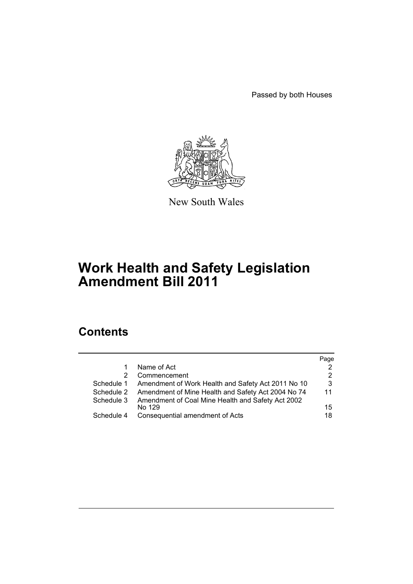Passed by both Houses



New South Wales

# **Work Health and Safety Legislation Amendment Bill 2011**

# **Contents**

|            |                                                    | Page |
|------------|----------------------------------------------------|------|
|            | Name of Act                                        | 2    |
| 2          | Commencement                                       | 2    |
| Schedule 1 | Amendment of Work Health and Safety Act 2011 No 10 | 3    |
| Schedule 2 | Amendment of Mine Health and Safety Act 2004 No 74 | 11   |
| Schedule 3 | Amendment of Coal Mine Health and Safety Act 2002  |      |
|            |                                                    | 15   |
| Schedule 4 | Consequential amendment of Acts                    | 18   |
|            | No 129                                             |      |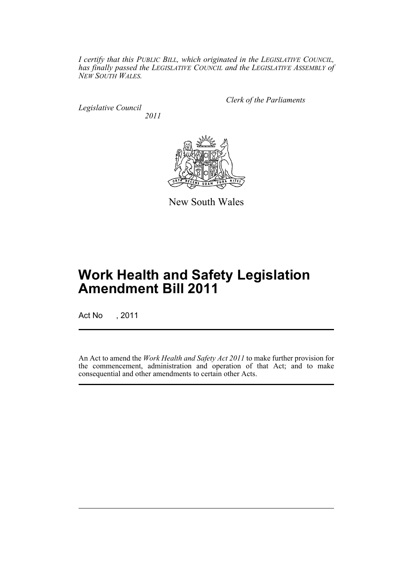*I certify that this PUBLIC BILL, which originated in the LEGISLATIVE COUNCIL, has finally passed the LEGISLATIVE COUNCIL and the LEGISLATIVE ASSEMBLY of NEW SOUTH WALES.*

*Legislative Council 2011* *Clerk of the Parliaments*



New South Wales

# **Work Health and Safety Legislation Amendment Bill 2011**

Act No , 2011

An Act to amend the *Work Health and Safety Act 2011* to make further provision for the commencement, administration and operation of that Act; and to make consequential and other amendments to certain other Acts.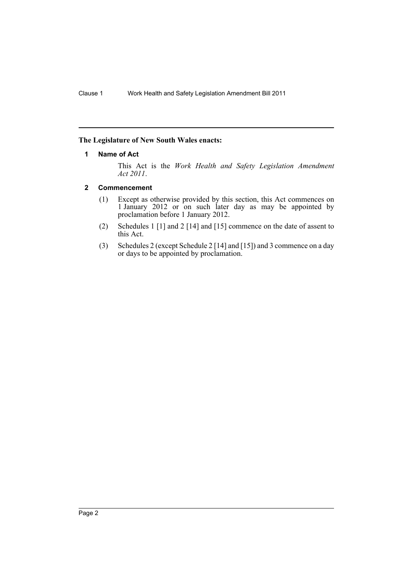# <span id="page-3-0"></span>**The Legislature of New South Wales enacts:**

#### **1 Name of Act**

This Act is the *Work Health and Safety Legislation Amendment Act 2011*.

#### <span id="page-3-1"></span>**2 Commencement**

- (1) Except as otherwise provided by this section, this Act commences on 1 January 2012 or on such later day as may be appointed by proclamation before 1 January 2012.
- (2) Schedules 1 [1] and 2 [14] and [15] commence on the date of assent to this Act.
- (3) Schedules 2 (except Schedule 2 [14] and [15]) and 3 commence on a day or days to be appointed by proclamation.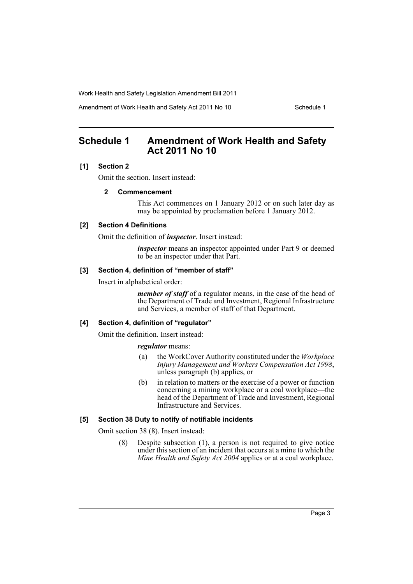Amendment of Work Health and Safety Act 2011 No 10 Schedule 1

# <span id="page-4-0"></span>**Schedule 1 Amendment of Work Health and Safety Act 2011 No 10**

#### **[1] Section 2**

Omit the section. Insert instead:

#### **2 Commencement**

This Act commences on 1 January 2012 or on such later day as may be appointed by proclamation before 1 January 2012.

#### **[2] Section 4 Definitions**

Omit the definition of *inspector*. Insert instead:

*inspector* means an inspector appointed under Part 9 or deemed to be an inspector under that Part.

#### **[3] Section 4, definition of "member of staff"**

Insert in alphabetical order:

*member of staff* of a regulator means, in the case of the head of the Department of Trade and Investment, Regional Infrastructure and Services, a member of staff of that Department.

#### **[4] Section 4, definition of "regulator"**

Omit the definition. Insert instead:

#### *regulator* means:

- (a) the WorkCover Authority constituted under the *Workplace Injury Management and Workers Compensation Act 1998*, unless paragraph (b) applies, or
- (b) in relation to matters or the exercise of a power or function concerning a mining workplace or a coal workplace—the head of the Department of Trade and Investment, Regional Infrastructure and Services.

#### **[5] Section 38 Duty to notify of notifiable incidents**

Omit section 38 (8). Insert instead:

(8) Despite subsection (1), a person is not required to give notice under this section of an incident that occurs at a mine to which the *Mine Health and Safety Act 2004* applies or at a coal workplace.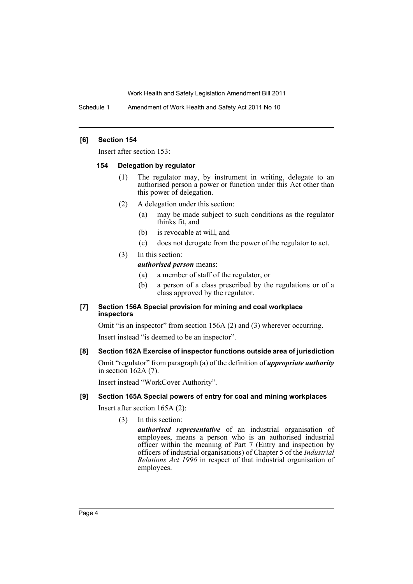Schedule 1 Amendment of Work Health and Safety Act 2011 No 10

#### **[6] Section 154**

Insert after section 153:

#### **154 Delegation by regulator**

- (1) The regulator may, by instrument in writing, delegate to an authorised person a power or function under this Act other than this power of delegation.
- (2) A delegation under this section:
	- (a) may be made subject to such conditions as the regulator thinks fit, and
	- (b) is revocable at will, and
	- (c) does not derogate from the power of the regulator to act.

# (3) In this section:

*authorised person* means:

- (a) a member of staff of the regulator, or
- (b) a person of a class prescribed by the regulations or of a class approved by the regulator.

# **[7] Section 156A Special provision for mining and coal workplace inspectors**

Omit "is an inspector" from section 156A (2) and (3) wherever occurring. Insert instead "is deemed to be an inspector".

# **[8] Section 162A Exercise of inspector functions outside area of jurisdiction**

Omit "regulator" from paragraph (a) of the definition of *appropriate authority* in section 162A (7).

Insert instead "WorkCover Authority".

# **[9] Section 165A Special powers of entry for coal and mining workplaces**

Insert after section 165A (2):

(3) In this section:

*authorised representative* of an industrial organisation of employees, means a person who is an authorised industrial officer within the meaning of Part 7 (Entry and inspection by officers of industrial organisations) of Chapter 5 of the *Industrial Relations Act 1996* in respect of that industrial organisation of employees.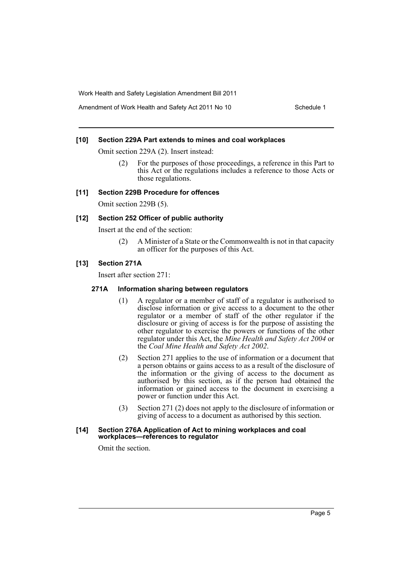Amendment of Work Health and Safety Act 2011 No 10 Schedule 1

#### **[10] Section 229A Part extends to mines and coal workplaces**

Omit section 229A (2). Insert instead:

(2) For the purposes of those proceedings, a reference in this Part to this Act or the regulations includes a reference to those Acts or those regulations.

#### **[11] Section 229B Procedure for offences**

Omit section 229B (5).

#### **[12] Section 252 Officer of public authority**

Insert at the end of the section:

(2) A Minister of a State or the Commonwealth is not in that capacity an officer for the purposes of this Act.

#### **[13] Section 271A**

Insert after section 271:

#### **271A Information sharing between regulators**

- (1) A regulator or a member of staff of a regulator is authorised to disclose information or give access to a document to the other regulator or a member of staff of the other regulator if the disclosure or giving of access is for the purpose of assisting the other regulator to exercise the powers or functions of the other regulator under this Act, the *Mine Health and Safety Act 2004* or the *Coal Mine Health and Safety Act 2002*.
- (2) Section 271 applies to the use of information or a document that a person obtains or gains access to as a result of the disclosure of the information or the giving of access to the document as authorised by this section, as if the person had obtained the information or gained access to the document in exercising a power or function under this Act.
- (3) Section 271 (2) does not apply to the disclosure of information or giving of access to a document as authorised by this section.

#### **[14] Section 276A Application of Act to mining workplaces and coal workplaces—references to regulator**

Omit the section.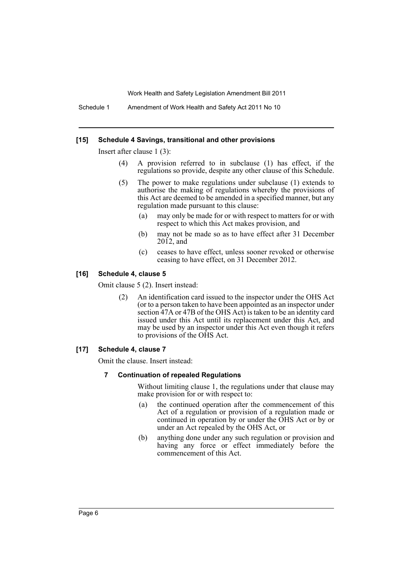Schedule 1 Amendment of Work Health and Safety Act 2011 No 10

#### **[15] Schedule 4 Savings, transitional and other provisions**

Insert after clause 1 (3):

- (4) A provision referred to in subclause (1) has effect, if the regulations so provide, despite any other clause of this Schedule.
- (5) The power to make regulations under subclause (1) extends to authorise the making of regulations whereby the provisions of this Act are deemed to be amended in a specified manner, but any regulation made pursuant to this clause:
	- (a) may only be made for or with respect to matters for or with respect to which this Act makes provision, and
	- (b) may not be made so as to have effect after 31 December  $2012$ , and
	- (c) ceases to have effect, unless sooner revoked or otherwise ceasing to have effect, on 31 December 2012.

#### **[16] Schedule 4, clause 5**

Omit clause 5 (2). Insert instead:

(2) An identification card issued to the inspector under the OHS Act (or to a person taken to have been appointed as an inspector under section 47A or 47B of the OHS Act) is taken to be an identity card issued under this Act until its replacement under this Act, and may be used by an inspector under this Act even though it refers to provisions of the OHS Act.

#### **[17] Schedule 4, clause 7**

Omit the clause. Insert instead:

#### **7 Continuation of repealed Regulations**

Without limiting clause 1, the regulations under that clause may make provision for or with respect to:

- (a) the continued operation after the commencement of this Act of a regulation or provision of a regulation made or continued in operation by or under the OHS Act or by or under an Act repealed by the OHS Act, or
- (b) anything done under any such regulation or provision and having any force or effect immediately before the commencement of this Act.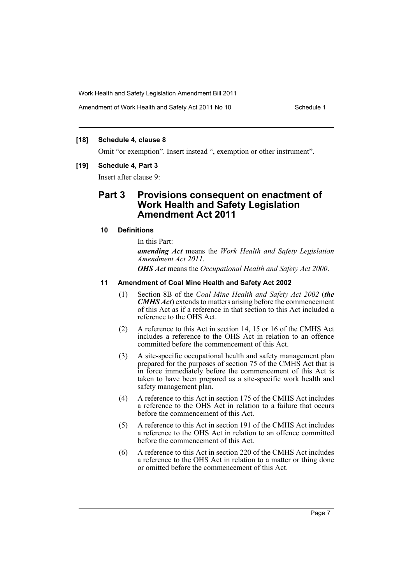Amendment of Work Health and Safety Act 2011 No 10 Schedule 1

#### **[18] Schedule 4, clause 8**

Omit "or exemption". Insert instead ", exemption or other instrument".

#### **[19] Schedule 4, Part 3**

Insert after clause 9:

# **Part 3 Provisions consequent on enactment of Work Health and Safety Legislation Amendment Act 2011**

# **10 Definitions**

In this Part:

*amending Act* means the *Work Health and Safety Legislation Amendment Act 2011*.

*OHS Act* means the *Occupational Health and Safety Act 2000*.

#### **11 Amendment of Coal Mine Health and Safety Act 2002**

- (1) Section 8B of the *Coal Mine Health and Safety Act 2002* (*the CMHS Act*) extends to matters arising before the commencement of this Act as if a reference in that section to this Act included a reference to the OHS Act.
- (2) A reference to this Act in section 14, 15 or 16 of the CMHS Act includes a reference to the OHS Act in relation to an offence committed before the commencement of this Act.
- (3) A site-specific occupational health and safety management plan prepared for the purposes of section 75 of the CMHS Act that is in force immediately before the commencement of this Act is taken to have been prepared as a site-specific work health and safety management plan.
- (4) A reference to this Act in section 175 of the CMHS Act includes a reference to the OHS Act in relation to a failure that occurs before the commencement of this Act.
- (5) A reference to this Act in section 191 of the CMHS Act includes a reference to the OHS Act in relation to an offence committed before the commencement of this Act.
- (6) A reference to this Act in section 220 of the CMHS Act includes a reference to the OHS Act in relation to a matter or thing done or omitted before the commencement of this Act.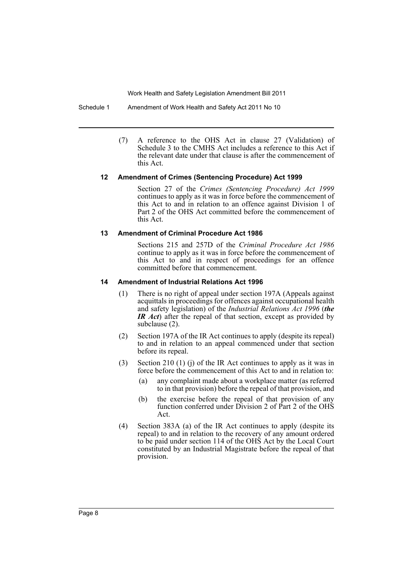Schedule 1 Amendment of Work Health and Safety Act 2011 No 10

(7) A reference to the OHS Act in clause 27 (Validation) of Schedule 3 to the CMHS Act includes a reference to this Act if the relevant date under that clause is after the commencement of this Act.

#### **12 Amendment of Crimes (Sentencing Procedure) Act 1999**

Section 27 of the *Crimes (Sentencing Procedure) Act 1999* continues to apply as it was in force before the commencement of this Act to and in relation to an offence against Division 1 of Part 2 of the OHS Act committed before the commencement of this Act.

#### **13 Amendment of Criminal Procedure Act 1986**

Sections 215 and 257D of the *Criminal Procedure Act 1986* continue to apply as it was in force before the commencement of this Act to and in respect of proceedings for an offence committed before that commencement.

#### **14 Amendment of Industrial Relations Act 1996**

- (1) There is no right of appeal under section 197A (Appeals against acquittals in proceedings for offences against occupational health and safety legislation) of the *Industrial Relations Act 1996* (*the IR Act*) after the repeal of that section, except as provided by subclause (2).
- (2) Section 197A of the IR Act continues to apply (despite its repeal) to and in relation to an appeal commenced under that section before its repeal.
- (3) Section 210 (1) (j) of the IR Act continues to apply as it was in force before the commencement of this Act to and in relation to:
	- (a) any complaint made about a workplace matter (as referred to in that provision) before the repeal of that provision, and
	- (b) the exercise before the repeal of that provision of any function conferred under Division 2 of Part 2 of the OHS Act.
- (4) Section 383A (a) of the IR Act continues to apply (despite its repeal) to and in relation to the recovery of any amount ordered to be paid under section 114 of the OHS Act by the Local Court constituted by an Industrial Magistrate before the repeal of that provision.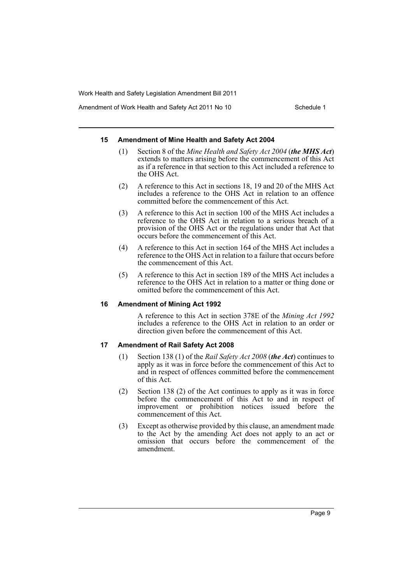Amendment of Work Health and Safety Act 2011 No 10 Schedule 1

#### **15 Amendment of Mine Health and Safety Act 2004**

- (1) Section 8 of the *Mine Health and Safety Act 2004* (*the MHS Act*) extends to matters arising before the commencement of this Act as if a reference in that section to this Act included a reference to the OHS Act.
- (2) A reference to this Act in sections 18, 19 and 20 of the MHS Act includes a reference to the OHS Act in relation to an offence committed before the commencement of this Act.
- (3) A reference to this Act in section 100 of the MHS Act includes a reference to the OHS Act in relation to a serious breach of a provision of the OHS Act or the regulations under that Act that occurs before the commencement of this Act.
- (4) A reference to this Act in section 164 of the MHS Act includes a reference to the OHS Act in relation to a failure that occurs before the commencement of this Act.
- (5) A reference to this Act in section 189 of the MHS Act includes a reference to the OHS Act in relation to a matter or thing done or omitted before the commencement of this Act.

#### **16 Amendment of Mining Act 1992**

A reference to this Act in section 378E of the *Mining Act 1992* includes a reference to the OHS Act in relation to an order or direction given before the commencement of this Act.

#### **17 Amendment of Rail Safety Act 2008**

- (1) Section 138 (1) of the *Rail Safety Act 2008* (*the Act*) continues to apply as it was in force before the commencement of this Act to and in respect of offences committed before the commencement of this Act.
- (2) Section 138 (2) of the Act continues to apply as it was in force before the commencement of this Act to and in respect of improvement or prohibition notices issued before the commencement of this Act.
- (3) Except as otherwise provided by this clause, an amendment made to the Act by the amending Act does not apply to an act or omission that occurs before the commencement of the amendment.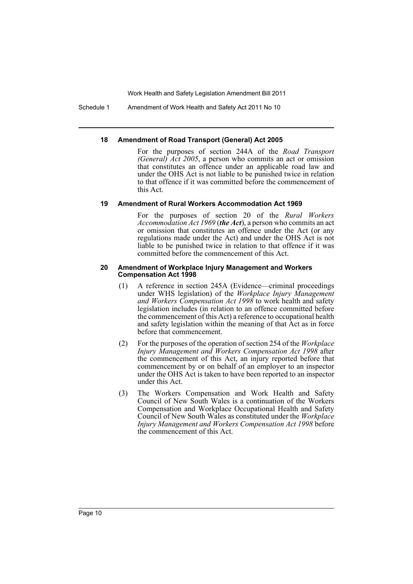Schedule 1 Amendment of Work Health and Safety Act 2011 No 10

#### **18 Amendment of Road Transport (General) Act 2005**

For the purposes of section 244A of the *Road Transport (General) Act 2005*, a person who commits an act or omission that constitutes an offence under an applicable road law and under the OHS Act is not liable to be punished twice in relation to that offence if it was committed before the commencement of this Act.

#### **19 Amendment of Rural Workers Accommodation Act 1969**

For the purposes of section 20 of the *Rural Workers Accommodation Act 1969* (*the Act*), a person who commits an act or omission that constitutes an offence under the Act (or any regulations made under the Act) and under the OHS Act is not liable to be punished twice in relation to that offence if it was committed before the commencement of this Act.

#### **20 Amendment of Workplace Injury Management and Workers Compensation Act 1998**

- (1) A reference in section 245A (Evidence—criminal proceedings under WHS legislation) of the *Workplace Injury Management and Workers Compensation Act 1998* to work health and safety legislation includes (in relation to an offence committed before the commencement of this Act) a reference to occupational health and safety legislation within the meaning of that Act as in force before that commencement.
- (2) For the purposes of the operation of section 254 of the *Workplace Injury Management and Workers Compensation Act 1998* after the commencement of this Act, an injury reported before that commencement by or on behalf of an employer to an inspector under the OHS Act is taken to have been reported to an inspector under this Act.
- (3) The Workers Compensation and Work Health and Safety Council of New South Wales is a continuation of the Workers Compensation and Workplace Occupational Health and Safety Council of New South Wales as constituted under the *Workplace Injury Management and Workers Compensation Act 1998* before the commencement of this Act.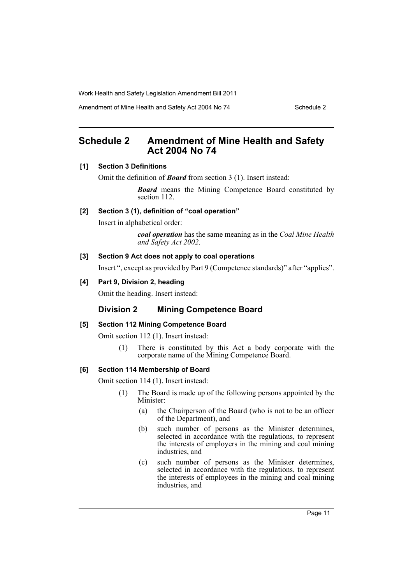Amendment of Mine Health and Safety Act 2004 No 74 Schedule 2

# <span id="page-12-0"></span>**Schedule 2 Amendment of Mine Health and Safety Act 2004 No 74**

#### **[1] Section 3 Definitions**

Omit the definition of *Board* from section 3 (1). Insert instead:

*Board* means the Mining Competence Board constituted by section 112.

# **[2] Section 3 (1), definition of "coal operation"**

Insert in alphabetical order:

*coal operation* has the same meaning as in the *Coal Mine Health and Safety Act 2002*.

#### **[3] Section 9 Act does not apply to coal operations**

Insert ", except as provided by Part 9 (Competence standards)" after "applies".

# **[4] Part 9, Division 2, heading**

Omit the heading. Insert instead:

# **Division 2 Mining Competence Board**

# **[5] Section 112 Mining Competence Board**

Omit section 112 (1). Insert instead:

(1) There is constituted by this Act a body corporate with the corporate name of the Mining Competence Board.

# **[6] Section 114 Membership of Board**

Omit section 114 (1). Insert instead:

- (1) The Board is made up of the following persons appointed by the Minister:
	- (a) the Chairperson of the Board (who is not to be an officer of the Department), and
	- (b) such number of persons as the Minister determines, selected in accordance with the regulations, to represent the interests of employers in the mining and coal mining industries, and
	- (c) such number of persons as the Minister determines, selected in accordance with the regulations, to represent the interests of employees in the mining and coal mining industries, and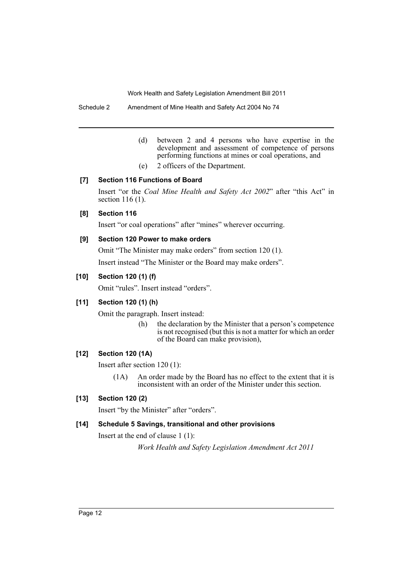Schedule 2 Amendment of Mine Health and Safety Act 2004 No 74

- (d) between 2 and 4 persons who have expertise in the development and assessment of competence of persons performing functions at mines or coal operations, and
- (e) 2 officers of the Department.

# **[7] Section 116 Functions of Board**

Insert "or the *Coal Mine Health and Safety Act 2002*" after "this Act" in section 116 (1).

# **[8] Section 116**

Insert "or coal operations" after "mines" wherever occurring.

# **[9] Section 120 Power to make orders**

Omit "The Minister may make orders" from section 120 (1).

Insert instead "The Minister or the Board may make orders".

# **[10] Section 120 (1) (f)**

Omit "rules". Insert instead "orders".

# **[11] Section 120 (1) (h)**

Omit the paragraph. Insert instead:

(h) the declaration by the Minister that a person's competence is not recognised (but this is not a matter for which an order of the Board can make provision),

# **[12] Section 120 (1A)**

Insert after section 120 (1):

(1A) An order made by the Board has no effect to the extent that it is inconsistent with an order of the Minister under this section.

# **[13] Section 120 (2)**

Insert "by the Minister" after "orders".

# **[14] Schedule 5 Savings, transitional and other provisions**

Insert at the end of clause 1 (1): *Work Health and Safety Legislation Amendment Act 2011*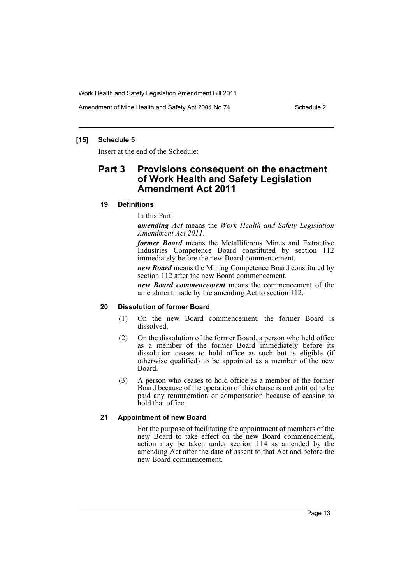Amendment of Mine Health and Safety Act 2004 No 74 Schedule 2

# **[15] Schedule 5**

Insert at the end of the Schedule:

# **Part 3 Provisions consequent on the enactment of Work Health and Safety Legislation Amendment Act 2011**

# **19 Definitions**

In this Part:

*amending Act* means the *Work Health and Safety Legislation Amendment Act 2011*.

*former Board* means the Metalliferous Mines and Extractive Industries Competence Board constituted by section 112 immediately before the new Board commencement.

*new Board* means the Mining Competence Board constituted by section 112 after the new Board commencement.

*new Board commencement* means the commencement of the amendment made by the amending Act to section 112.

# **20 Dissolution of former Board**

- (1) On the new Board commencement, the former Board is dissolved.
- (2) On the dissolution of the former Board, a person who held office as a member of the former Board immediately before its dissolution ceases to hold office as such but is eligible (if otherwise qualified) to be appointed as a member of the new Board.
- (3) A person who ceases to hold office as a member of the former Board because of the operation of this clause is not entitled to be paid any remuneration or compensation because of ceasing to hold that office.

# **21 Appointment of new Board**

For the purpose of facilitating the appointment of members of the new Board to take effect on the new Board commencement, action may be taken under section 114 as amended by the amending Act after the date of assent to that Act and before the new Board commencement.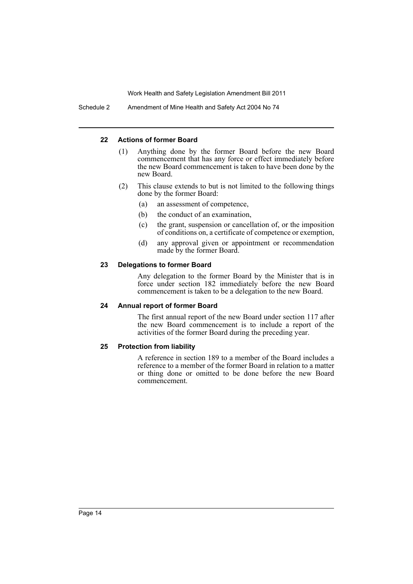Schedule 2 Amendment of Mine Health and Safety Act 2004 No 74

#### **22 Actions of former Board**

- (1) Anything done by the former Board before the new Board commencement that has any force or effect immediately before the new Board commencement is taken to have been done by the new Board.
- (2) This clause extends to but is not limited to the following things done by the former Board:
	- (a) an assessment of competence,
	- (b) the conduct of an examination,
	- (c) the grant, suspension or cancellation of, or the imposition of conditions on, a certificate of competence or exemption,
	- (d) any approval given or appointment or recommendation made by the former Board.

#### **23 Delegations to former Board**

Any delegation to the former Board by the Minister that is in force under section 182 immediately before the new Board commencement is taken to be a delegation to the new Board.

#### **24 Annual report of former Board**

The first annual report of the new Board under section 117 after the new Board commencement is to include a report of the activities of the former Board during the preceding year.

#### **25 Protection from liability**

A reference in section 189 to a member of the Board includes a reference to a member of the former Board in relation to a matter or thing done or omitted to be done before the new Board commencement.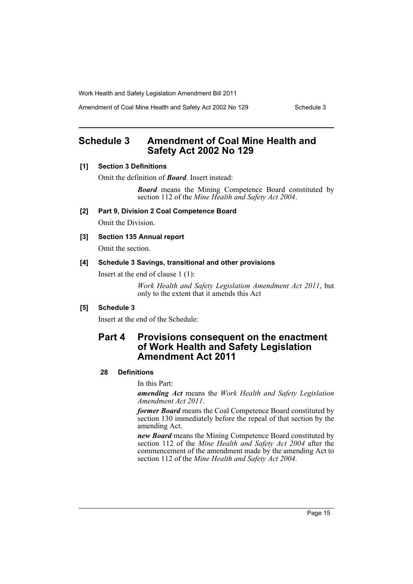Amendment of Coal Mine Health and Safety Act 2002 No 129 Schedule 3

# <span id="page-16-0"></span>**Schedule 3 Amendment of Coal Mine Health and Safety Act 2002 No 129**

# **[1] Section 3 Definitions**

Omit the definition of *Board*. Insert instead:

*Board* means the Mining Competence Board constituted by section 112 of the *Mine Health and Safety Act 2004*.

- **[2] Part 9, Division 2 Coal Competence Board** Omit the Division.
- **[3] Section 135 Annual report**

Omit the section.

#### **[4] Schedule 3 Savings, transitional and other provisions**

Insert at the end of clause 1 (1):

*Work Health and Safety Legislation Amendment Act 2011*, but only to the extent that it amends this Act

# **[5] Schedule 3**

Insert at the end of the Schedule:

# **Part 4 Provisions consequent on the enactment of Work Health and Safety Legislation Amendment Act 2011**

#### **28 Definitions**

In this Part:

*amending Act* means the *Work Health and Safety Legislation Amendment Act 2011*.

*former Board* means the Coal Competence Board constituted by section 130 immediately before the repeal of that section by the amending Act.

*new Board* means the Mining Competence Board constituted by section 112 of the *Mine Health and Safety Act 2004* after the commencement of the amendment made by the amending Act to section 112 of the *Mine Health and Safety Act 2004*.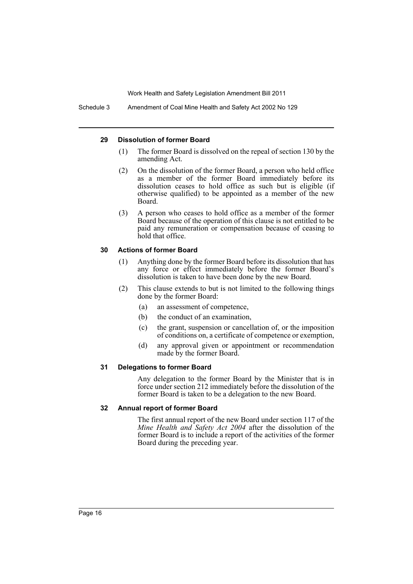Schedule 3 Amendment of Coal Mine Health and Safety Act 2002 No 129

#### **29 Dissolution of former Board**

- (1) The former Board is dissolved on the repeal of section 130 by the amending Act.
- (2) On the dissolution of the former Board, a person who held office as a member of the former Board immediately before its dissolution ceases to hold office as such but is eligible (if otherwise qualified) to be appointed as a member of the new Board.
- (3) A person who ceases to hold office as a member of the former Board because of the operation of this clause is not entitled to be paid any remuneration or compensation because of ceasing to hold that office.

#### **30 Actions of former Board**

- (1) Anything done by the former Board before its dissolution that has any force or effect immediately before the former Board's dissolution is taken to have been done by the new Board.
- (2) This clause extends to but is not limited to the following things done by the former Board:
	- (a) an assessment of competence,
	- (b) the conduct of an examination,
	- (c) the grant, suspension or cancellation of, or the imposition of conditions on, a certificate of competence or exemption,
	- (d) any approval given or appointment or recommendation made by the former Board.

# **31 Delegations to former Board**

Any delegation to the former Board by the Minister that is in force under section 212 immediately before the dissolution of the former Board is taken to be a delegation to the new Board.

# **32 Annual report of former Board**

The first annual report of the new Board under section 117 of the *Mine Health and Safety Act 2004* after the dissolution of the former Board is to include a report of the activities of the former Board during the preceding year.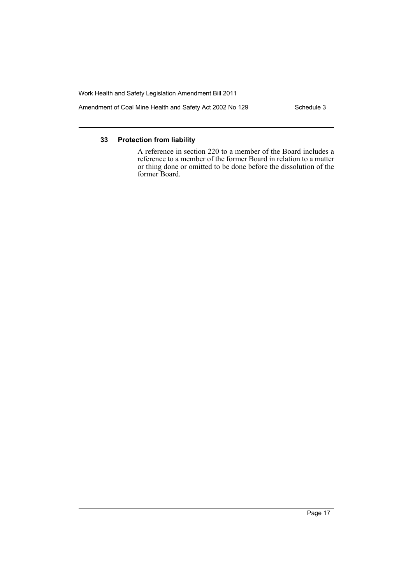Amendment of Coal Mine Health and Safety Act 2002 No 129 Schedule 3

#### **33 Protection from liability**

A reference in section 220 to a member of the Board includes a reference to a member of the former Board in relation to a matter or thing done or omitted to be done before the dissolution of the former Board.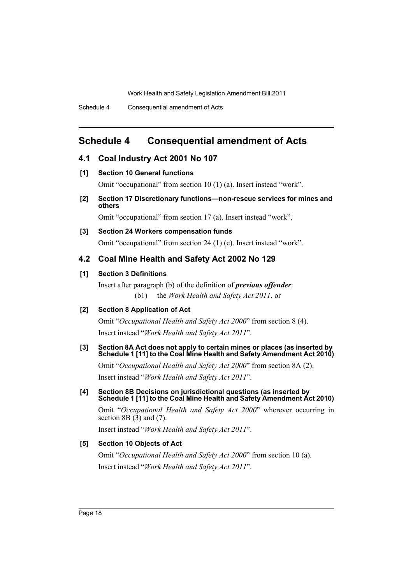Schedule 4 Consequential amendment of Acts

# <span id="page-19-0"></span>**Schedule 4 Consequential amendment of Acts**

# **4.1 Coal Industry Act 2001 No 107**

#### **[1] Section 10 General functions**

Omit "occupational" from section 10 (1) (a). Insert instead "work".

**[2] Section 17 Discretionary functions—non-rescue services for mines and others**

Omit "occupational" from section 17 (a). Insert instead "work".

# **[3] Section 24 Workers compensation funds**

Omit "occupational" from section 24 (1) (c). Insert instead "work".

# **4.2 Coal Mine Health and Safety Act 2002 No 129**

#### **[1] Section 3 Definitions**

Insert after paragraph (b) of the definition of *previous offender*: (b1) the *Work Health and Safety Act 2011*, or

#### **[2] Section 8 Application of Act**

Omit "*Occupational Health and Safety Act 2000*" from section 8 (4). Insert instead "*Work Health and Safety Act 2011*".

#### **[3] Section 8A Act does not apply to certain mines or places (as inserted by Schedule 1 [11] to the Coal Mine Health and Safety Amendment Act 2010)**

Omit "*Occupational Health and Safety Act 2000*" from section 8A (2). Insert instead "*Work Health and Safety Act 2011*".

# **[4] Section 8B Decisions on jurisdictional questions (as inserted by Schedule 1 [11] to the Coal Mine Health and Safety Amendment Act 2010)**

Omit "*Occupational Health and Safety Act 2000*" wherever occurring in section 8B $(3)$  and  $(7)$ .

Insert instead "*Work Health and Safety Act 2011*".

# **[5] Section 10 Objects of Act**

Omit "*Occupational Health and Safety Act 2000*" from section 10 (a). Insert instead "*Work Health and Safety Act 2011*".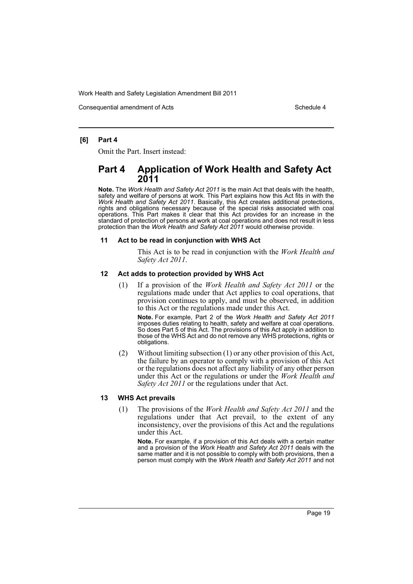Consequential amendment of Acts Schedule 4 and Schedule 4

#### **[6] Part 4**

Omit the Part. Insert instead:

# **Part 4 Application of Work Health and Safety Act 2011**

**Note.** The *Work Health and Safety Act 2011* is the main Act that deals with the health, safety and welfare of persons at work. This Part explains how this Act fits in with the *Work Health and Safety Act 2011*. Basically, this Act creates additional protections, rights and obligations necessary because of the special risks associated with coal operations. This Part makes it clear that this Act provides for an increase in the standard of protection of persons at work at coal operations and does not result in less protection than the *Work Health and Safety Act 2011* would otherwise provide.

#### **11 Act to be read in conjunction with WHS Act**

This Act is to be read in conjunction with the *Work Health and Safety Act 2011*.

#### **12 Act adds to protection provided by WHS Act**

(1) If a provision of the *Work Health and Safety Act 2011* or the regulations made under that Act applies to coal operations, that provision continues to apply, and must be observed, in addition to this Act or the regulations made under this Act.

**Note.** For example, Part 2 of the *Work Health and Safety Act 2011* imposes duties relating to health, safety and welfare at coal operations. So does Part 5 of this Act. The provisions of this Act apply in addition to those of the WHS Act and do not remove any WHS protections, rights or obligations.

(2) Without limiting subsection (1) or any other provision of this Act, the failure by an operator to comply with a provision of this Act or the regulations does not affect any liability of any other person under this Act or the regulations or under the *Work Health and Safety Act 2011* or the regulations under that Act.

#### **13 WHS Act prevails**

(1) The provisions of the *Work Health and Safety Act 2011* and the regulations under that Act prevail, to the extent of any inconsistency, over the provisions of this Act and the regulations under this Act.

**Note.** For example, if a provision of this Act deals with a certain matter and a provision of the *Work Health and Safety Act 2011* deals with the same matter and it is not possible to comply with both provisions, then a person must comply with the *Work Health and Safety Act 2011* and not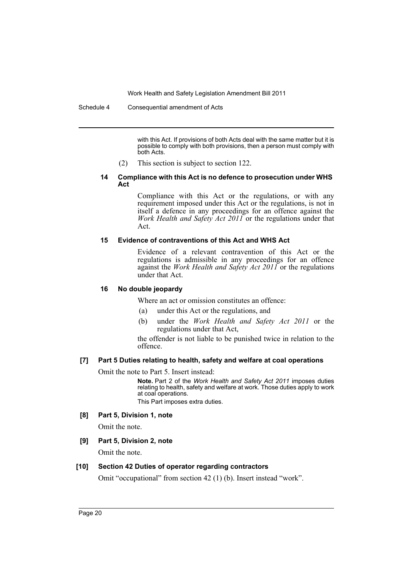with this Act. If provisions of both Acts deal with the same matter but it is possible to comply with both provisions, then a person must comply with both Acts.

(2) This section is subject to section 122.

#### **14 Compliance with this Act is no defence to prosecution under WHS Act**

Compliance with this Act or the regulations, or with any requirement imposed under this Act or the regulations, is not in itself a defence in any proceedings for an offence against the *Work Health and Safety Act 2011* or the regulations under that Act.

#### **15 Evidence of contraventions of this Act and WHS Act**

Evidence of a relevant contravention of this Act or the regulations is admissible in any proceedings for an offence against the *Work Health and Safety Act 2011* or the regulations under that Act.

#### **16 No double jeopardy**

Where an act or omission constitutes an offence:

- (a) under this Act or the regulations, and
- (b) under the *Work Health and Safety Act 2011* or the regulations under that Act,

the offender is not liable to be punished twice in relation to the offence.

#### **[7] Part 5 Duties relating to health, safety and welfare at coal operations**

Omit the note to Part 5. Insert instead:

**Note.** Part 2 of the *Work Health and Safety Act 2011* imposes duties relating to health, safety and welfare at work. Those duties apply to work at coal operations.

This Part imposes extra duties.

#### **[8] Part 5, Division 1, note**

Omit the note.

# **[9] Part 5, Division 2, note**

Omit the note.

#### **[10] Section 42 Duties of operator regarding contractors**

Omit "occupational" from section 42 (1) (b). Insert instead "work".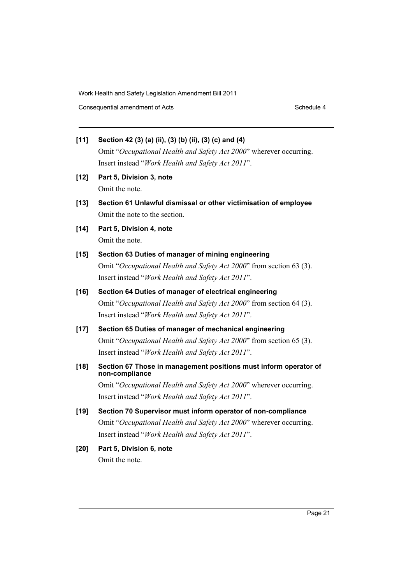Consequential amendment of Acts Schedule 4 and Schedule 4

- **[11] Section 42 (3) (a) (ii), (3) (b) (ii), (3) (c) and (4)** Omit "*Occupational Health and Safety Act 2000*" wherever occurring. Insert instead "*Work Health and Safety Act 2011*".
- **[12] Part 5, Division 3, note** Omit the note.
- **[13] Section 61 Unlawful dismissal or other victimisation of employee** Omit the note to the section.
- **[14] Part 5, Division 4, note** Omit the note.
- **[15] Section 63 Duties of manager of mining engineering** Omit "*Occupational Health and Safety Act 2000*" from section 63 (3). Insert instead "*Work Health and Safety Act 2011*".
- **[16] Section 64 Duties of manager of electrical engineering** Omit "*Occupational Health and Safety Act 2000*" from section 64 (3). Insert instead "*Work Health and Safety Act 2011*".
- **[17] Section 65 Duties of manager of mechanical engineering** Omit "*Occupational Health and Safety Act 2000*" from section 65 (3). Insert instead "*Work Health and Safety Act 2011*".
- **[18] Section 67 Those in management positions must inform operator of non-compliance**

Omit "*Occupational Health and Safety Act 2000*" wherever occurring. Insert instead "*Work Health and Safety Act 2011*".

- **[19] Section 70 Supervisor must inform operator of non-compliance** Omit "*Occupational Health and Safety Act 2000*" wherever occurring. Insert instead "*Work Health and Safety Act 2011*".
- **[20] Part 5, Division 6, note** Omit the note.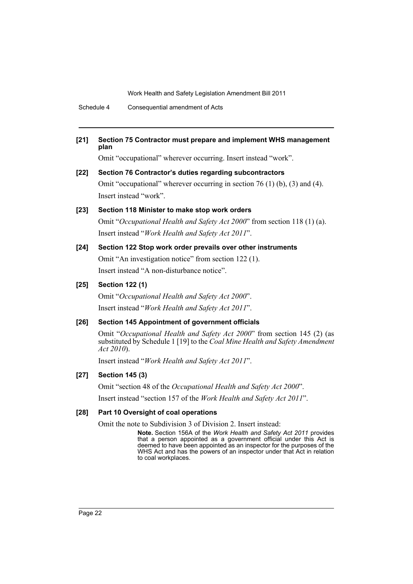Schedule 4 Consequential amendment of Acts

#### **[21] Section 75 Contractor must prepare and implement WHS management plan**

Omit "occupational" wherever occurring. Insert instead "work".

# **[22] Section 76 Contractor's duties regarding subcontractors** Omit "occupational" wherever occurring in section 76 (1) (b), (3) and (4). Insert instead "work".

#### **[23] Section 118 Minister to make stop work orders**

Omit "*Occupational Health and Safety Act 2000*" from section 118 (1) (a). Insert instead "*Work Health and Safety Act 2011*".

#### **[24] Section 122 Stop work order prevails over other instruments**

Omit "An investigation notice" from section 122 (1). Insert instead "A non-disturbance notice".

# **[25] Section 122 (1)**

Omit "*Occupational Health and Safety Act 2000*". Insert instead "*Work Health and Safety Act 2011*".

# **[26] Section 145 Appointment of government officials**

Omit "*Occupational Health and Safety Act 2000*" from section 145 (2) (as substituted by Schedule 1 [19] to the *Coal Mine Health and Safety Amendment Act 2010*).

Insert instead "*Work Health and Safety Act 2011*".

# **[27] Section 145 (3)**

Omit "section 48 of the *Occupational Health and Safety Act 2000*".

Insert instead "section 157 of the *Work Health and Safety Act 2011*".

#### **[28] Part 10 Oversight of coal operations**

Omit the note to Subdivision 3 of Division 2. Insert instead:

**Note.** Section 156A of the *Work Health and Safety Act 2011* provides that a person appointed as a government official under this Act is deemed to have been appointed as an inspector for the purposes of the WHS Act and has the powers of an inspector under that Act in relation to coal workplaces.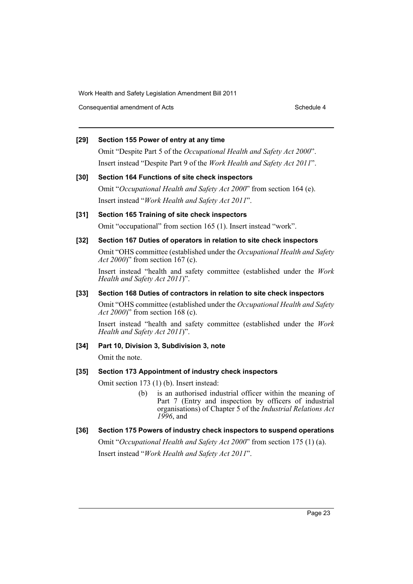Consequential amendment of Acts Schedule 4 and Schedule 4

#### **[29] Section 155 Power of entry at any time**

Omit "Despite Part 5 of the *Occupational Health and Safety Act 2000*". Insert instead "Despite Part 9 of the *Work Health and Safety Act 2011*".

#### **[30] Section 164 Functions of site check inspectors**

Omit "*Occupational Health and Safety Act 2000*" from section 164 (e). Insert instead "*Work Health and Safety Act 2011*".

# **[31] Section 165 Training of site check inspectors**

Omit "occupational" from section 165 (1). Insert instead "work".

# **[32] Section 167 Duties of operators in relation to site check inspectors**

Omit "OHS committee (established under the *Occupational Health and Safety Act 2000*)" from section 167 (c).

Insert instead "health and safety committee (established under the *Work Health and Safety Act 2011*)".

#### **[33] Section 168 Duties of contractors in relation to site check inspectors**

Omit "OHS committee (established under the *Occupational Health and Safety Act 2000*)" from section 168 (c).

Insert instead "health and safety committee (established under the *Work Health and Safety Act 2011*)".

# **[34] Part 10, Division 3, Subdivision 3, note**

Omit the note.

# **[35] Section 173 Appointment of industry check inspectors**

Omit section 173 (1) (b). Insert instead:

(b) is an authorised industrial officer within the meaning of Part 7 (Entry and inspection by officers of industrial organisations) of Chapter 5 of the *Industrial Relations Act 1996*, and

# **[36] Section 175 Powers of industry check inspectors to suspend operations**

Omit "*Occupational Health and Safety Act 2000*" from section 175 (1) (a). Insert instead "*Work Health and Safety Act 2011*".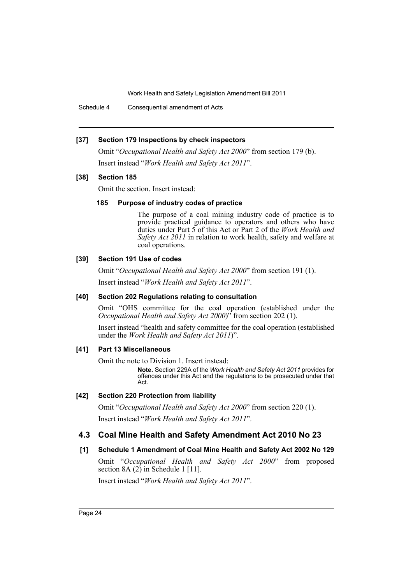Schedule 4 Consequential amendment of Acts

#### **[37] Section 179 Inspections by check inspectors**

Omit "*Occupational Health and Safety Act 2000*" from section 179 (b). Insert instead "*Work Health and Safety Act 2011*".

#### **[38] Section 185**

Omit the section. Insert instead:

# **185 Purpose of industry codes of practice**

The purpose of a coal mining industry code of practice is to provide practical guidance to operators and others who have duties under Part 5 of this Act or Part 2 of the *Work Health and Safety Act 2011* in relation to work health, safety and welfare at coal operations.

#### **[39] Section 191 Use of codes**

Omit "*Occupational Health and Safety Act 2000*" from section 191 (1).

Insert instead "*Work Health and Safety Act 2011*".

#### **[40] Section 202 Regulations relating to consultation**

Omit "OHS committee for the coal operation (established under the *Occupational Health and Safety Act 2000*)" from section 202 (1).

Insert instead "health and safety committee for the coal operation (established under the *Work Health and Safety Act 2011*)".

# **[41] Part 13 Miscellaneous**

Omit the note to Division 1. Insert instead:

**Note.** Section 229A of the *Work Health and Safety Act 2011* provides for offences under this Act and the regulations to be prosecuted under that Act.

# **[42] Section 220 Protection from liability**

Omit "*Occupational Health and Safety Act 2000*" from section 220 (1). Insert instead "*Work Health and Safety Act 2011*".

# **4.3 Coal Mine Health and Safety Amendment Act 2010 No 23**

# **[1] Schedule 1 Amendment of Coal Mine Health and Safety Act 2002 No 129**

Omit "*Occupational Health and Safety Act 2000*" from proposed section 8A  $(2)$  in Schedule 1 [11].

Insert instead "*Work Health and Safety Act 2011*".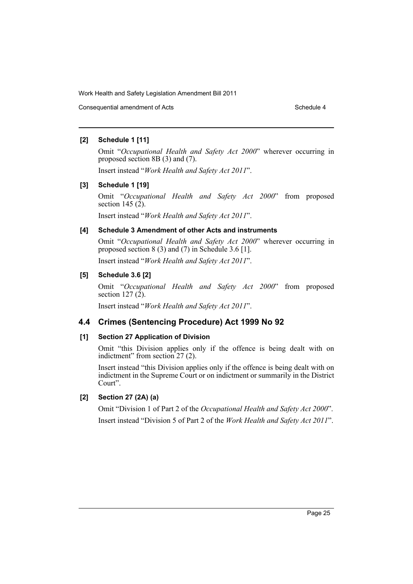Consequential amendment of Acts Schedule 4

# **[2] Schedule 1 [11]**

Omit "*Occupational Health and Safety Act 2000*" wherever occurring in proposed section 8B (3) and (7).

Insert instead "*Work Health and Safety Act 2011*".

# **[3] Schedule 1 [19]**

Omit "*Occupational Health and Safety Act 2000*" from proposed section 145 $(2)$ .

Insert instead "*Work Health and Safety Act 2011*".

# **[4] Schedule 3 Amendment of other Acts and instruments**

Omit "*Occupational Health and Safety Act 2000*" wherever occurring in proposed section 8 (3) and (7) in Schedule 3.6 [1].

Insert instead "*Work Health and Safety Act 2011*".

# **[5] Schedule 3.6 [2]**

Omit "*Occupational Health and Safety Act 2000*" from proposed section 127 $(2)$ .

Insert instead "*Work Health and Safety Act 2011*".

# **4.4 Crimes (Sentencing Procedure) Act 1999 No 92**

# **[1] Section 27 Application of Division**

Omit "this Division applies only if the offence is being dealt with on indictment" from section 27 (2).

Insert instead "this Division applies only if the offence is being dealt with on indictment in the Supreme Court or on indictment or summarily in the District Court".

# **[2] Section 27 (2A) (a)**

Omit "Division 1 of Part 2 of the *Occupational Health and Safety Act 2000*". Insert instead "Division 5 of Part 2 of the *Work Health and Safety Act 2011*".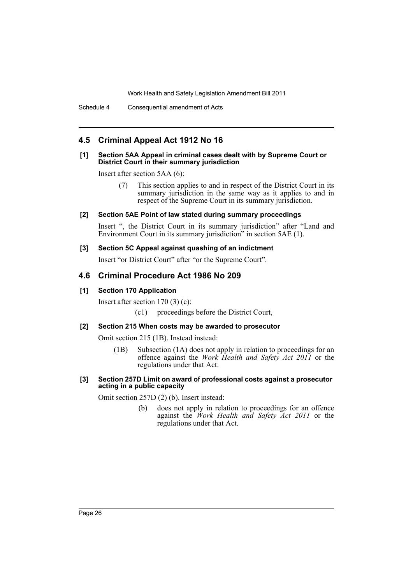# **4.5 Criminal Appeal Act 1912 No 16**

#### **[1] Section 5AA Appeal in criminal cases dealt with by Supreme Court or District Court in their summary jurisdiction**

Insert after section 5AA (6):

(7) This section applies to and in respect of the District Court in its summary jurisdiction in the same way as it applies to and in respect of the Supreme Court in its summary jurisdiction.

#### **[2] Section 5AE Point of law stated during summary proceedings**

Insert ", the District Court in its summary jurisdiction" after "Land and Environment Court in its summary jurisdiction" in section 5AE (1).

#### **[3] Section 5C Appeal against quashing of an indictment**

Insert "or District Court" after "or the Supreme Court".

# **4.6 Criminal Procedure Act 1986 No 209**

# **[1] Section 170 Application**

Insert after section 170 (3) (c):

(c1) proceedings before the District Court,

# **[2] Section 215 When costs may be awarded to prosecutor**

Omit section 215 (1B). Instead instead:

(1B) Subsection (1A) does not apply in relation to proceedings for an offence against the *Work Health and Safety Act 2011* or the regulations under that Act.

#### **[3] Section 257D Limit on award of professional costs against a prosecutor acting in a public capacity**

Omit section 257D (2) (b). Insert instead:

(b) does not apply in relation to proceedings for an offence against the *Work Health and Safety Act 2011* or the regulations under that Act.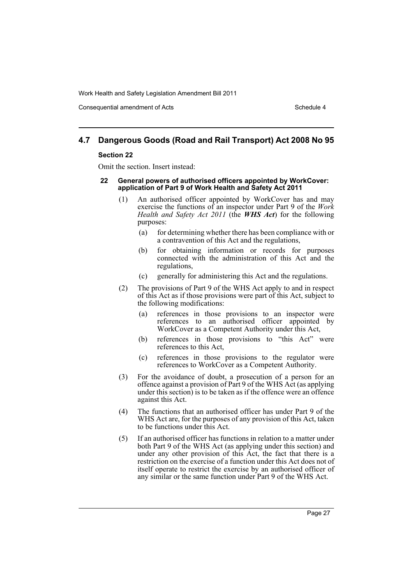Consequential amendment of Acts Schedule 4 and Schedule 4

# **4.7 Dangerous Goods (Road and Rail Transport) Act 2008 No 95**

#### **Section 22**

Omit the section. Insert instead:

- **22 General powers of authorised officers appointed by WorkCover: application of Part 9 of Work Health and Safety Act 2011**
	- (1) An authorised officer appointed by WorkCover has and may exercise the functions of an inspector under Part 9 of the *Work Health and Safety Act 2011* (the *WHS Act*) for the following purposes:
		- (a) for determining whether there has been compliance with or a contravention of this Act and the regulations,
		- (b) for obtaining information or records for purposes connected with the administration of this Act and the regulations,
		- (c) generally for administering this Act and the regulations.
	- (2) The provisions of Part 9 of the WHS Act apply to and in respect of this Act as if those provisions were part of this Act, subject to the following modifications:
		- (a) references in those provisions to an inspector were references to an authorised officer appointed by WorkCover as a Competent Authority under this Act,
		- (b) references in those provisions to "this Act" were references to this Act,
		- (c) references in those provisions to the regulator were references to WorkCover as a Competent Authority.
	- (3) For the avoidance of doubt, a prosecution of a person for an offence against a provision of Part 9 of the WHS Act (as applying under this section) is to be taken as if the offence were an offence against this Act.
	- (4) The functions that an authorised officer has under Part 9 of the WHS Act are, for the purposes of any provision of this Act, taken to be functions under this Act.
	- (5) If an authorised officer has functions in relation to a matter under both Part 9 of the WHS Act (as applying under this section) and under any other provision of this Act, the fact that there is a restriction on the exercise of a function under this Act does not of itself operate to restrict the exercise by an authorised officer of any similar or the same function under Part 9 of the WHS Act.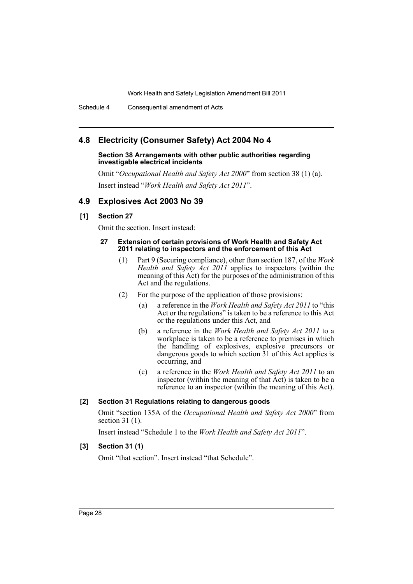Schedule 4 Consequential amendment of Acts

# **4.8 Electricity (Consumer Safety) Act 2004 No 4**

#### **Section 38 Arrangements with other public authorities regarding investigable electrical incidents**

Omit "*Occupational Health and Safety Act 2000*" from section 38 (1) (a). Insert instead "*Work Health and Safety Act 2011*".

# **4.9 Explosives Act 2003 No 39**

# **[1] Section 27**

Omit the section. Insert instead:

#### **27 Extension of certain provisions of Work Health and Safety Act 2011 relating to inspectors and the enforcement of this Act**

- (1) Part 9 (Securing compliance), other than section 187, of the *Work Health and Safety Act 2011* applies to inspectors (within the meaning of this Act) for the purposes of the administration of this Act and the regulations.
- (2) For the purpose of the application of those provisions:
	- (a) a reference in the *Work Health and Safety Act 2011* to "this Act or the regulations" is taken to be a reference to this Act or the regulations under this Act, and
	- (b) a reference in the *Work Health and Safety Act 2011* to a workplace is taken to be a reference to premises in which the handling of explosives, explosive precursors or dangerous goods to which section 31 of this Act applies is occurring, and
	- (c) a reference in the *Work Health and Safety Act 2011* to an inspector (within the meaning of that Act) is taken to be a reference to an inspector (within the meaning of this Act).

# **[2] Section 31 Regulations relating to dangerous goods**

Omit "section 135A of the *Occupational Health and Safety Act 2000*" from section 31 (1).

Insert instead "Schedule 1 to the *Work Health and Safety Act 2011*".

# **[3] Section 31 (1)**

Omit "that section". Insert instead "that Schedule".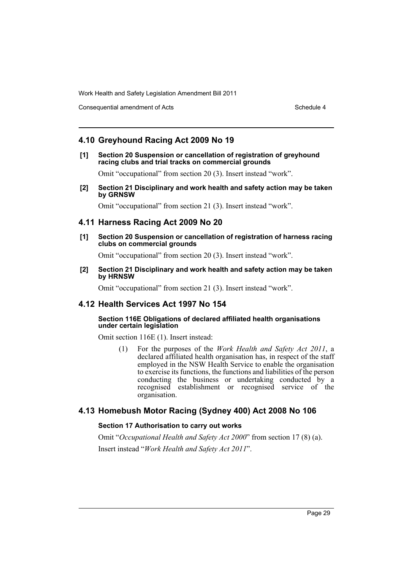Consequential amendment of Acts Schedule 4 and Schedule 4

# **4.10 Greyhound Racing Act 2009 No 19**

**[1] Section 20 Suspension or cancellation of registration of greyhound racing clubs and trial tracks on commercial grounds**

Omit "occupational" from section 20 (3). Insert instead "work".

**[2] Section 21 Disciplinary and work health and safety action may be taken by GRNSW**

Omit "occupational" from section 21 (3). Insert instead "work".

# **4.11 Harness Racing Act 2009 No 20**

**[1] Section 20 Suspension or cancellation of registration of harness racing clubs on commercial grounds**

Omit "occupational" from section 20 (3). Insert instead "work".

**[2] Section 21 Disciplinary and work health and safety action may be taken by HRNSW**

Omit "occupational" from section 21 (3). Insert instead "work".

# **4.12 Health Services Act 1997 No 154**

#### **Section 116E Obligations of declared affiliated health organisations under certain legislation**

Omit section 116E (1). Insert instead:

(1) For the purposes of the *Work Health and Safety Act 2011*, a declared affiliated health organisation has, in respect of the staff employed in the NSW Health Service to enable the organisation to exercise its functions, the functions and liabilities of the person conducting the business or undertaking conducted by a recognised establishment or recognised service of the organisation.

# **4.13 Homebush Motor Racing (Sydney 400) Act 2008 No 106**

# **Section 17 Authorisation to carry out works**

Omit "*Occupational Health and Safety Act 2000*" from section 17 (8) (a). Insert instead "*Work Health and Safety Act 2011*".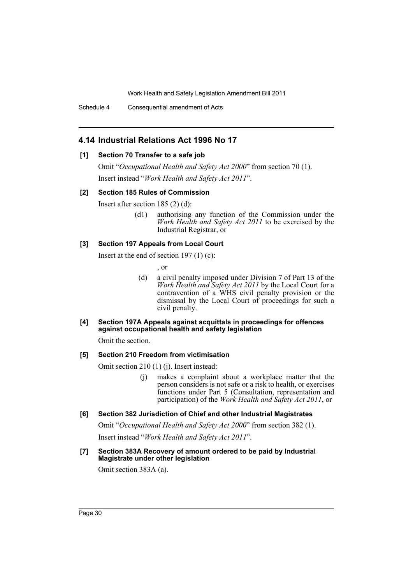Schedule 4 Consequential amendment of Acts

# **4.14 Industrial Relations Act 1996 No 17**

#### **[1] Section 70 Transfer to a safe job**

Omit "*Occupational Health and Safety Act 2000*" from section 70 (1). Insert instead "*Work Health and Safety Act 2011*".

#### **[2] Section 185 Rules of Commission**

Insert after section 185 (2) (d):

(d1) authorising any function of the Commission under the *Work Health and Safety Act 2011* to be exercised by the Industrial Registrar, or

#### **[3] Section 197 Appeals from Local Court**

Insert at the end of section 197 $(1)$  $(c)$ :

, or

- (d) a civil penalty imposed under Division 7 of Part 13 of the *Work Health and Safety Act 2011* by the Local Court for a contravention of a WHS civil penalty provision or the dismissal by the Local Court of proceedings for such a civil penalty.
- **[4] Section 197A Appeals against acquittals in proceedings for offences against occupational health and safety legislation**

Omit the section.

# **[5] Section 210 Freedom from victimisation**

Omit section 210 (1) (j). Insert instead:

- (j) makes a complaint about a workplace matter that the person considers is not safe or a risk to health, or exercises functions under Part 5 (Consultation, representation and participation) of the *Work Health and Safety Act 2011*, or
- **[6] Section 382 Jurisdiction of Chief and other Industrial Magistrates**

Omit "*Occupational Health and Safety Act 2000*" from section 382 (1). Insert instead "*Work Health and Safety Act 2011*".

**[7] Section 383A Recovery of amount ordered to be paid by Industrial Magistrate under other legislation**

Omit section 383A (a).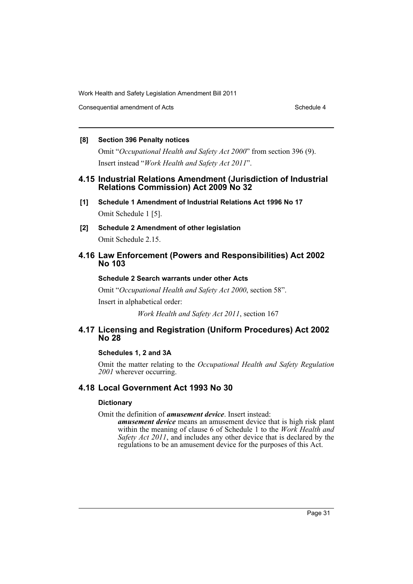Consequential amendment of Acts Schedule 4 and Schedule 4

# **[8] Section 396 Penalty notices**

Omit "*Occupational Health and Safety Act 2000*" from section 396 (9). Insert instead "*Work Health and Safety Act 2011*".

# **4.15 Industrial Relations Amendment (Jurisdiction of Industrial Relations Commission) Act 2009 No 32**

- **[1] Schedule 1 Amendment of Industrial Relations Act 1996 No 17** Omit Schedule 1 [5].
- **[2] Schedule 2 Amendment of other legislation** Omit Schedule 2.15.

# **4.16 Law Enforcement (Powers and Responsibilities) Act 2002 No 103**

# **Schedule 2 Search warrants under other Acts**

Omit "*Occupational Health and Safety Act 2000*, section 58".

Insert in alphabetical order:

*Work Health and Safety Act 2011*, section 167

# **4.17 Licensing and Registration (Uniform Procedures) Act 2002 No 28**

# **Schedules 1, 2 and 3A**

Omit the matter relating to the *Occupational Health and Safety Regulation 2001* wherever occurring.

# **4.18 Local Government Act 1993 No 30**

# **Dictionary**

Omit the definition of *amusement device*. Insert instead:

*amusement device* means an amusement device that is high risk plant within the meaning of clause 6 of Schedule 1 to the *Work Health and Safety Act 2011*, and includes any other device that is declared by the regulations to be an amusement device for the purposes of this Act.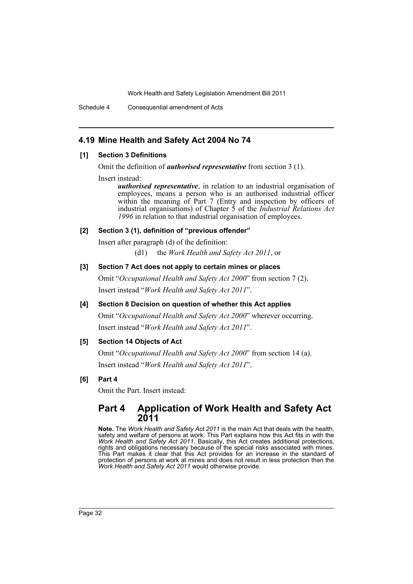Schedule 4 Consequential amendment of Acts

# **4.19 Mine Health and Safety Act 2004 No 74**

# **[1] Section 3 Definitions**

Omit the definition of *authorised representative* from section 3 (1).

Insert instead:

*authorised representative*, in relation to an industrial organisation of employees, means a person who is an authorised industrial officer within the meaning of Part 7 (Entry and inspection by officers of industrial organisations) of Chapter 5 of the *Industrial Relations Act 1996* in relation to that industrial organisation of employees.

# **[2] Section 3 (1), definition of "previous offender"**

Insert after paragraph (d) of the definition: (d1) the *Work Health and Safety Act 2011*, or

# **[3] Section 7 Act does not apply to certain mines or places**

Omit "*Occupational Health and Safety Act 2000*" from section 7 (2). Insert instead "*Work Health and Safety Act 2011*".

# **[4] Section 8 Decision on question of whether this Act applies**

Omit "*Occupational Health and Safety Act 2000*" wherever occurring. Insert instead "*Work Health and Safety Act 2011*".

# **[5] Section 14 Objects of Act**

Omit "*Occupational Health and Safety Act 2000*" from section 14 (a). Insert instead "*Work Health and Safety Act 2011*".

# **[6] Part 4**

Omit the Part. Insert instead:

# **Part 4 Application of Work Health and Safety Act 2011**

**Note.** The *Work Health and Safety Act 2011* is the main Act that deals with the health, safety and welfare of persons at work. This Part explains how this Act fits in with the *Work Health and Safety Act 2011*. Basically, this Act creates additional protections, rights and obligations necessary because of the special risks associated with mines. This Part makes it clear that this Act provides for an increase in the standard of protection of persons at work at mines and does not result in less protection than the *Work Health and Safety Act 2011* would otherwise provide.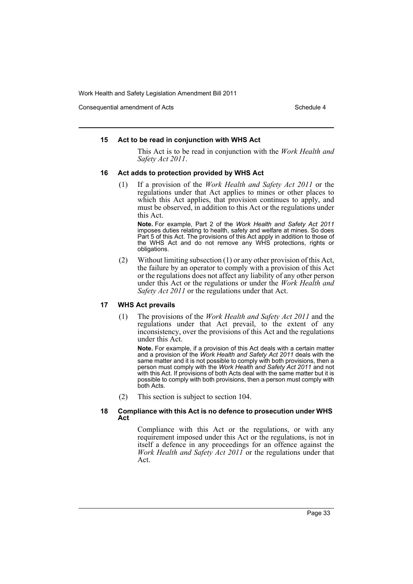Consequential amendment of Acts Schedule 4 and Schedule 4

#### **15 Act to be read in conjunction with WHS Act**

This Act is to be read in conjunction with the *Work Health and Safety Act 2011*.

#### **16 Act adds to protection provided by WHS Act**

(1) If a provision of the *Work Health and Safety Act 2011* or the regulations under that Act applies to mines or other places to which this Act applies, that provision continues to apply, and must be observed, in addition to this Act or the regulations under this Act.

**Note.** For example, Part 2 of the *Work Health and Safety Act 2011* imposes duties relating to health, safety and welfare at mines. So does Part 5 of this Act. The provisions of this Act apply in addition to those of the WHS Act and do not remove any WHS protections, rights or obligations.

(2) Without limiting subsection (1) or any other provision of this Act, the failure by an operator to comply with a provision of this Act or the regulations does not affect any liability of any other person under this Act or the regulations or under the *Work Health and Safety Act 2011* or the regulations under that Act.

#### **17 WHS Act prevails**

(1) The provisions of the *Work Health and Safety Act 2011* and the regulations under that Act prevail, to the extent of any inconsistency, over the provisions of this Act and the regulations under this Act.

**Note.** For example, if a provision of this Act deals with a certain matter and a provision of the *Work Health and Safety Act 2011* deals with the same matter and it is not possible to comply with both provisions, then a person must comply with the *Work Health and Safety Act 2011* and not with this Act. If provisions of both Acts deal with the same matter but it is possible to comply with both provisions, then a person must comply with both Acts.

(2) This section is subject to section 104.

#### **18 Compliance with this Act is no defence to prosecution under WHS Act**

Compliance with this Act or the regulations, or with any requirement imposed under this Act or the regulations, is not in itself a defence in any proceedings for an offence against the *Work Health and Safety Act 2011* or the regulations under that Act.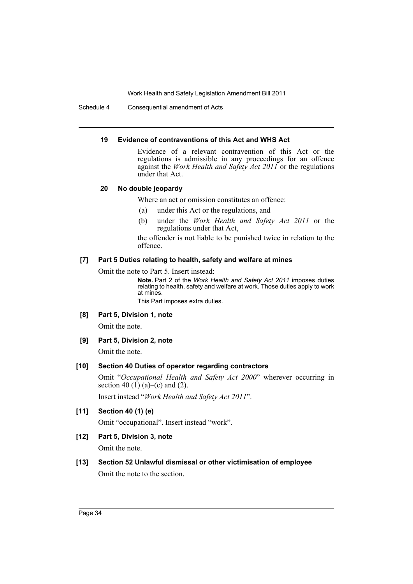Schedule 4 Consequential amendment of Acts

#### **19 Evidence of contraventions of this Act and WHS Act**

Evidence of a relevant contravention of this Act or the regulations is admissible in any proceedings for an offence against the *Work Health and Safety Act 2011* or the regulations under that Act.

#### **20 No double jeopardy**

Where an act or omission constitutes an offence:

- (a) under this Act or the regulations, and
- (b) under the *Work Health and Safety Act 2011* or the regulations under that Act,

the offender is not liable to be punished twice in relation to the offence.

#### **[7] Part 5 Duties relating to health, safety and welfare at mines**

Omit the note to Part 5. Insert instead:

**Note.** Part 2 of the *Work Health and Safety Act 2011* imposes duties relating to health, safety and welfare at work. Those duties apply to work at mines.

This Part imposes extra duties.

#### **[8] Part 5, Division 1, note**

Omit the note.

#### **[9] Part 5, Division 2, note**

Omit the note.

#### **[10] Section 40 Duties of operator regarding contractors**

Omit "*Occupational Health and Safety Act 2000*" wherever occurring in section 40 (1) (a)–(c) and (2).

Insert instead "*Work Health and Safety Act 2011*".

# **[11] Section 40 (1) (e)**

Omit "occupational". Insert instead "work".

# **[12] Part 5, Division 3, note**

Omit the note.

# **[13] Section 52 Unlawful dismissal or other victimisation of employee**

Omit the note to the section.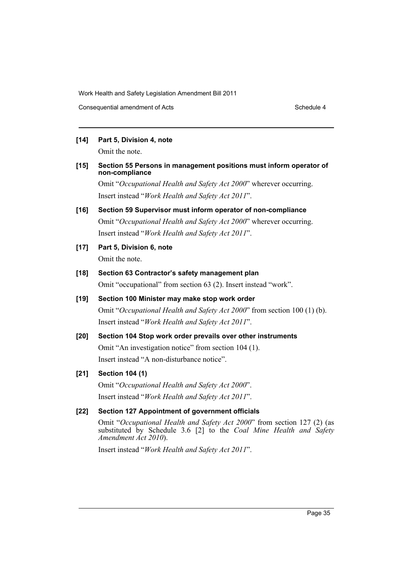Consequential amendment of Acts Schedule 4 and Schedule 4

# **[14] Part 5, Division 4, note**

Omit the note.

#### **[15] Section 55 Persons in management positions must inform operator of non-compliance**

Omit "*Occupational Health and Safety Act 2000*" wherever occurring. Insert instead "*Work Health and Safety Act 2011*".

# **[16] Section 59 Supervisor must inform operator of non-compliance**

Omit "*Occupational Health and Safety Act 2000*" wherever occurring. Insert instead "*Work Health and Safety Act 2011*".

**[17] Part 5, Division 6, note**

Omit the note.

# **[18] Section 63 Contractor's safety management plan**

Omit "occupational" from section 63 (2). Insert instead "work".

# **[19] Section 100 Minister may make stop work order** Omit "*Occupational Health and Safety Act 2000*" from section 100 (1) (b). Insert instead "*Work Health and Safety Act 2011*".

# **[20] Section 104 Stop work order prevails over other instruments**

Omit "An investigation notice" from section 104 (1). Insert instead "A non-disturbance notice".

# **[21] Section 104 (1)**

Omit "*Occupational Health and Safety Act 2000*". Insert instead "*Work Health and Safety Act 2011*".

# **[22] Section 127 Appointment of government officials**

Omit "*Occupational Health and Safety Act 2000*" from section 127 (2) (as substituted by Schedule 3.6 [2] to the *Coal Mine Health and Safety Amendment Act 2010*).

Insert instead "*Work Health and Safety Act 2011*".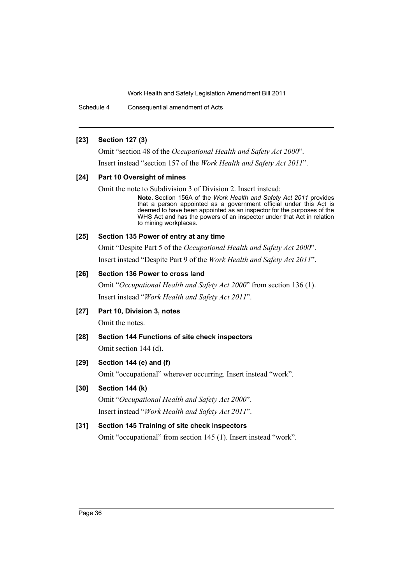Schedule 4 Consequential amendment of Acts

#### **[23] Section 127 (3)**

Omit "section 48 of the *Occupational Health and Safety Act 2000*". Insert instead "section 157 of the *Work Health and Safety Act 2011*".

#### **[24] Part 10 Oversight of mines**

Omit the note to Subdivision 3 of Division 2. Insert instead:

**Note.** Section 156A of the *Work Health and Safety Act 2011* provides that a person appointed as a government official under this Act is deemed to have been appointed as an inspector for the purposes of the WHS Act and has the powers of an inspector under that Act in relation to mining workplaces.

#### **[25] Section 135 Power of entry at any time**

Omit "Despite Part 5 of the *Occupational Health and Safety Act 2000*". Insert instead "Despite Part 9 of the *Work Health and Safety Act 2011*".

# **[26] Section 136 Power to cross land**

Omit "*Occupational Health and Safety Act 2000*" from section 136 (1). Insert instead "*Work Health and Safety Act 2011*".

- **[27] Part 10, Division 3, notes** Omit the notes.
- **[28] Section 144 Functions of site check inspectors** Omit section 144 (d).

# **[29] Section 144 (e) and (f)**

Omit "occupational" wherever occurring. Insert instead "work".

# **[30] Section 144 (k)**

Omit "*Occupational Health and Safety Act 2000*". Insert instead "*Work Health and Safety Act 2011*".

# **[31] Section 145 Training of site check inspectors**

Omit "occupational" from section 145 (1). Insert instead "work".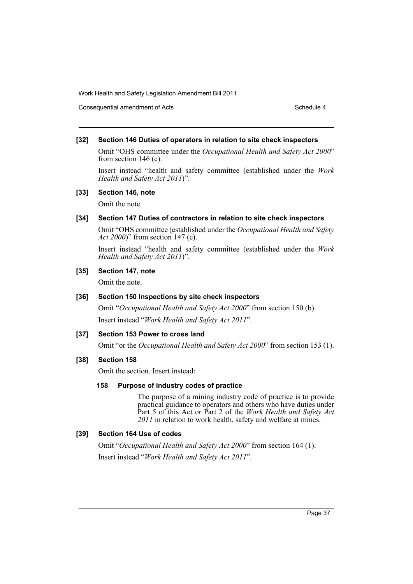Consequential amendment of Acts Schedule 4

#### **[32] Section 146 Duties of operators in relation to site check inspectors**

Omit "OHS committee under the *Occupational Health and Safety Act 2000*" from section 146 (c).

Insert instead "health and safety committee (established under the *Work Health and Safety Act 2011*)".

#### **[33] Section 146, note**

Omit the note.

#### **[34] Section 147 Duties of contractors in relation to site check inspectors**

Omit "OHS committee (established under the *Occupational Health and Safety Act 2000*)" from section 147 (c).

Insert instead "health and safety committee (established under the *Work Health and Safety Act 2011*)".

# **[35] Section 147, note**

Omit the note.

# **[36] Section 150 Inspections by site check inspectors**

Omit "*Occupational Health and Safety Act 2000*" from section 150 (b). Insert instead "*Work Health and Safety Act 2011*".

# **[37] Section 153 Power to cross land**

Omit "or the *Occupational Health and Safety Act 2000*" from section 153 (1).

#### **[38] Section 158**

Omit the section. Insert instead:

#### **158 Purpose of industry codes of practice**

The purpose of a mining industry code of practice is to provide practical guidance to operators and others who have duties under Part 5 of this Act or Part 2 of the *Work Health and Safety Act 2011* in relation to work health, safety and welfare at mines.

# **[39] Section 164 Use of codes**

Omit "*Occupational Health and Safety Act 2000*" from section 164 (1). Insert instead "*Work Health and Safety Act 2011*".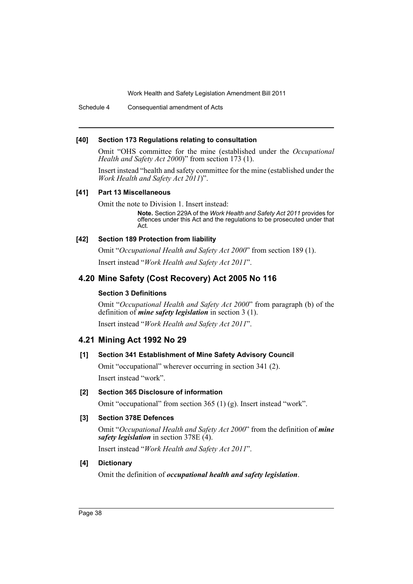Schedule 4 Consequential amendment of Acts

#### **[40] Section 173 Regulations relating to consultation**

Omit "OHS committee for the mine (established under the *Occupational Health and Safety Act 2000*)" from section 173 (1).

Insert instead "health and safety committee for the mine (established under the *Work Health and Safety Act 2011*)".

#### **[41] Part 13 Miscellaneous**

Omit the note to Division 1. Insert instead:

**Note.** Section 229A of the *Work Health and Safety Act 2011* provides for offences under this Act and the regulations to be prosecuted under that Act.

#### **[42] Section 189 Protection from liability**

Omit "*Occupational Health and Safety Act 2000*" from section 189 (1). Insert instead "*Work Health and Safety Act 2011*".

# **4.20 Mine Safety (Cost Recovery) Act 2005 No 116**

# **Section 3 Definitions**

Omit "*Occupational Health and Safety Act 2000*" from paragraph (b) of the definition of *mine safety legislation* in section 3 (1).

Insert instead "*Work Health and Safety Act 2011*".

# **4.21 Mining Act 1992 No 29**

# **[1] Section 341 Establishment of Mine Safety Advisory Council**

Omit "occupational" wherever occurring in section 341 (2). Insert instead "work".

# **[2] Section 365 Disclosure of information**

Omit "occupational" from section 365 (1) (g). Insert instead "work".

# **[3] Section 378E Defences**

Omit "*Occupational Health and Safety Act 2000*" from the definition of *mine safety legislation* in section 378E (4).

Insert instead "*Work Health and Safety Act 2011*".

# **[4] Dictionary**

Omit the definition of *occupational health and safety legislation*.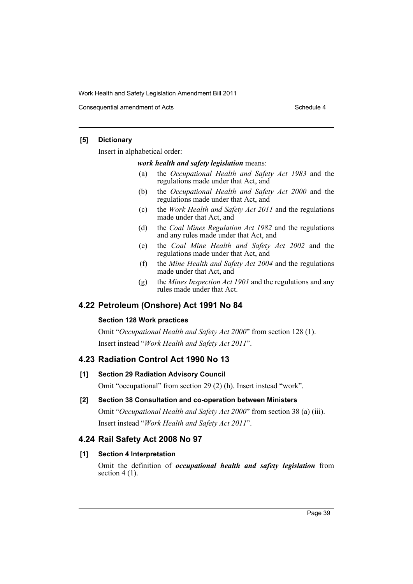Consequential amendment of Acts Schedule 4

# **[5] Dictionary**

Insert in alphabetical order:

#### *work health and safety legislation* means:

- (a) the *Occupational Health and Safety Act 1983* and the regulations made under that Act, and
- (b) the *Occupational Health and Safety Act 2000* and the regulations made under that Act, and
- (c) the *Work Health and Safety Act 2011* and the regulations made under that Act, and
- (d) the *Coal Mines Regulation Act 1982* and the regulations and any rules made under that Act, and
- (e) the *Coal Mine Health and Safety Act 2002* and the regulations made under that Act, and
- (f) the *Mine Health and Safety Act 2004* and the regulations made under that Act, and
- (g) the *Mines Inspection Act 1901* and the regulations and any rules made under that Act.

# **4.22 Petroleum (Onshore) Act 1991 No 84**

# **Section 128 Work practices**

Omit "*Occupational Health and Safety Act 2000*" from section 128 (1). Insert instead "*Work Health and Safety Act 2011*".

# **4.23 Radiation Control Act 1990 No 13**

# **[1] Section 29 Radiation Advisory Council**

Omit "occupational" from section 29 (2) (h). Insert instead "work".

# **[2] Section 38 Consultation and co-operation between Ministers**

Omit "*Occupational Health and Safety Act 2000*" from section 38 (a) (iii). Insert instead "*Work Health and Safety Act 2011*".

# **4.24 Rail Safety Act 2008 No 97**

# **[1] Section 4 Interpretation**

Omit the definition of *occupational health and safety legislation* from section  $4(1)$ .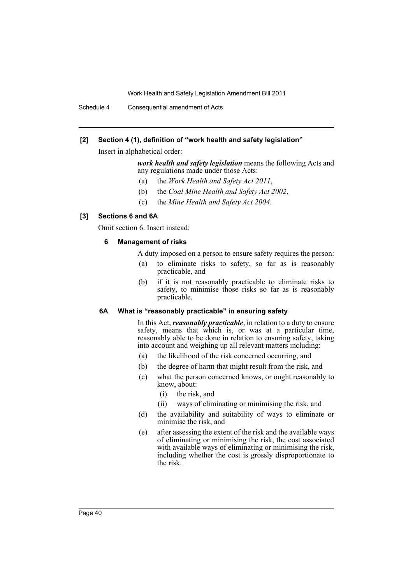Schedule 4 Consequential amendment of Acts

# **[2] Section 4 (1), definition of "work health and safety legislation"**

Insert in alphabetical order:

# *work health and safety legislation* means the following Acts and any regulations made under those Acts:

- (a) the *Work Health and Safety Act 2011*,
- (b) the *Coal Mine Health and Safety Act 2002*,
- (c) the *Mine Health and Safety Act 2004*.

#### **[3] Sections 6 and 6A**

Omit section 6. Insert instead:

#### **6 Management of risks**

- A duty imposed on a person to ensure safety requires the person:
- (a) to eliminate risks to safety, so far as is reasonably practicable, and
- (b) if it is not reasonably practicable to eliminate risks to safety, to minimise those risks so far as is reasonably practicable.

#### **6A What is "reasonably practicable" in ensuring safety**

In this Act, *reasonably practicable*, in relation to a duty to ensure safety, means that which is, or was at a particular time, reasonably able to be done in relation to ensuring safety, taking into account and weighing up all relevant matters including:

- (a) the likelihood of the risk concerned occurring, and
- (b) the degree of harm that might result from the risk, and
- (c) what the person concerned knows, or ought reasonably to know, about:
	- (i) the risk, and
	- (ii) ways of eliminating or minimising the risk, and
- (d) the availability and suitability of ways to eliminate or minimise the risk, and
- (e) after assessing the extent of the risk and the available ways of eliminating or minimising the risk, the cost associated with available ways of eliminating or minimising the risk, including whether the cost is grossly disproportionate to the risk.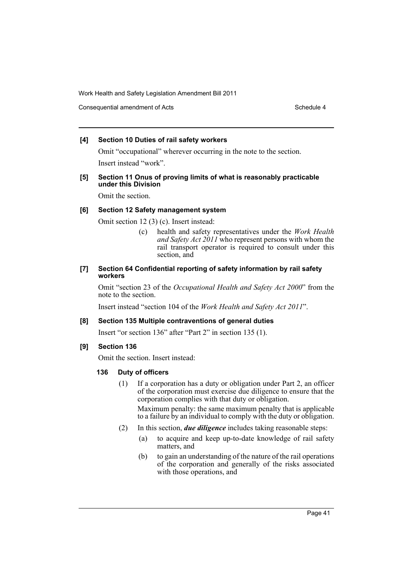Consequential amendment of Acts Schedule 4 and Schedule 4

# **[4] Section 10 Duties of rail safety workers**

Omit "occupational" wherever occurring in the note to the section. Insert instead "work".

#### **[5] Section 11 Onus of proving limits of what is reasonably practicable under this Division**

Omit the section.

# **[6] Section 12 Safety management system**

Omit section 12 (3) (c). Insert instead:

(c) health and safety representatives under the *Work Health and Safety Act 2011* who represent persons with whom the rail transport operator is required to consult under this section, and

# **[7] Section 64 Confidential reporting of safety information by rail safety workers**

Omit "section 23 of the *Occupational Health and Safety Act 2000*" from the note to the section.

Insert instead "section 104 of the *Work Health and Safety Act 2011*".

# **[8] Section 135 Multiple contraventions of general duties**

Insert "or section 136" after "Part 2" in section 135 (1).

# **[9] Section 136**

Omit the section. Insert instead:

# **136 Duty of officers**

(1) If a corporation has a duty or obligation under Part 2, an officer of the corporation must exercise due diligence to ensure that the corporation complies with that duty or obligation.

Maximum penalty: the same maximum penalty that is applicable to a failure by an individual to comply with the duty or obligation.

- (2) In this section, *due diligence* includes taking reasonable steps:
	- (a) to acquire and keep up-to-date knowledge of rail safety matters, and
	- (b) to gain an understanding of the nature of the rail operations of the corporation and generally of the risks associated with those operations, and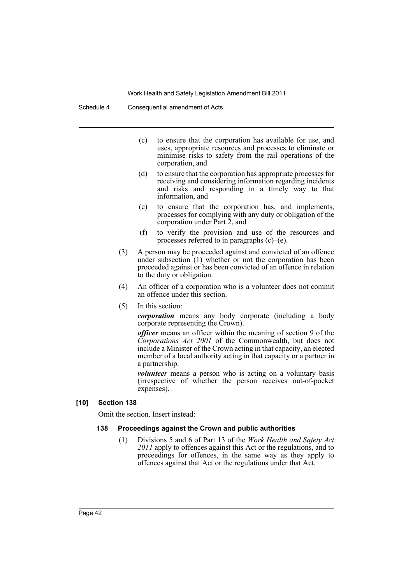- (c) to ensure that the corporation has available for use, and uses, appropriate resources and processes to eliminate or minimise risks to safety from the rail operations of the corporation, and
- (d) to ensure that the corporation has appropriate processes for receiving and considering information regarding incidents and risks and responding in a timely way to that information, and
- (e) to ensure that the corporation has, and implements, processes for complying with any duty or obligation of the corporation under Part 2, and
- (f) to verify the provision and use of the resources and processes referred to in paragraphs (c)–(e).
- (3) A person may be proceeded against and convicted of an offence under subsection  $(1)$  whether or not the corporation has been proceeded against or has been convicted of an offence in relation to the duty or obligation.
- (4) An officer of a corporation who is a volunteer does not commit an offence under this section.
- (5) In this section:

*corporation* means any body corporate (including a body corporate representing the Crown).

*officer* means an officer within the meaning of section 9 of the *Corporations Act 2001* of the Commonwealth, but does not include a Minister of the Crown acting in that capacity, an elected member of a local authority acting in that capacity or a partner in a partnership.

*volunteer* means a person who is acting on a voluntary basis (irrespective of whether the person receives out-of-pocket expenses).

#### **[10] Section 138**

Omit the section. Insert instead:

#### **138 Proceedings against the Crown and public authorities**

(1) Divisions 5 and 6 of Part 13 of the *Work Health and Safety Act* 2011 apply to offences against this Act or the regulations, and to proceedings for offences, in the same way as they apply to offences against that Act or the regulations under that Act.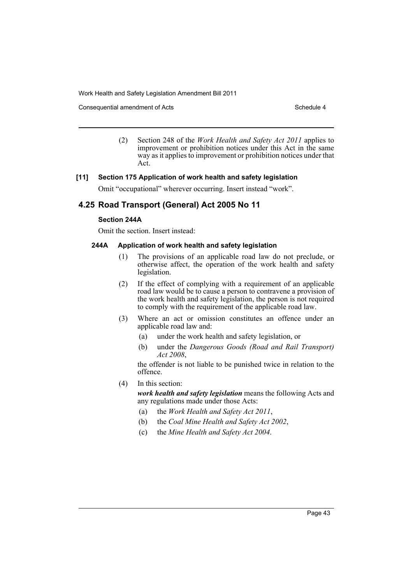Consequential amendment of Acts Schedule 4 and Schedule 4

(2) Section 248 of the *Work Health and Safety Act 2011* applies to improvement or prohibition notices under this Act in the same way as it applies to improvement or prohibition notices under that Act.

#### **[11] Section 175 Application of work health and safety legislation**

Omit "occupational" wherever occurring. Insert instead "work".

# **4.25 Road Transport (General) Act 2005 No 11**

#### **Section 244A**

Omit the section. Insert instead:

# **244A Application of work health and safety legislation**

- (1) The provisions of an applicable road law do not preclude, or otherwise affect, the operation of the work health and safety legislation.
- (2) If the effect of complying with a requirement of an applicable road law would be to cause a person to contravene a provision of the work health and safety legislation, the person is not required to comply with the requirement of the applicable road law.
- (3) Where an act or omission constitutes an offence under an applicable road law and:
	- (a) under the work health and safety legislation, or
	- (b) under the *Dangerous Goods (Road and Rail Transport) Act 2008*,

the offender is not liable to be punished twice in relation to the offence.

(4) In this section:

*work health and safety legislation* means the following Acts and any regulations made under those Acts:

- (a) the *Work Health and Safety Act 2011*,
- (b) the *Coal Mine Health and Safety Act 2002*,
- (c) the *Mine Health and Safety Act 2004*.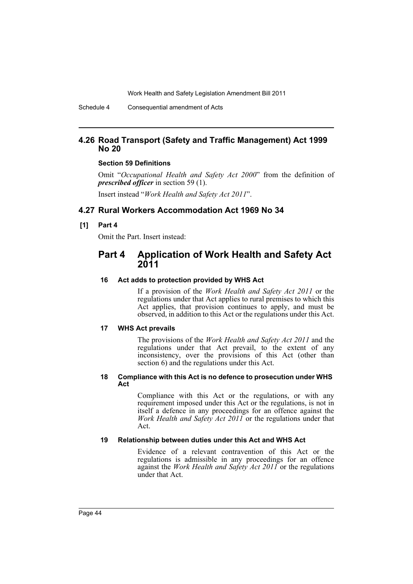# **4.26 Road Transport (Safety and Traffic Management) Act 1999 No 20**

#### **Section 59 Definitions**

Omit "*Occupational Health and Safety Act 2000*" from the definition of *prescribed officer* in section 59 (1).

Insert instead "*Work Health and Safety Act 2011*".

#### **4.27 Rural Workers Accommodation Act 1969 No 34**

#### **[1] Part 4**

Omit the Part. Insert instead:

# **Part 4 Application of Work Health and Safety Act 2011**

#### **16 Act adds to protection provided by WHS Act**

If a provision of the *Work Health and Safety Act 2011* or the regulations under that Act applies to rural premises to which this Act applies, that provision continues to apply, and must be observed, in addition to this Act or the regulations under this Act.

#### **17 WHS Act prevails**

The provisions of the *Work Health and Safety Act 2011* and the regulations under that Act prevail, to the extent of any inconsistency, over the provisions of this Act (other than section 6) and the regulations under this Act.

#### **18 Compliance with this Act is no defence to prosecution under WHS Act**

Compliance with this Act or the regulations, or with any requirement imposed under this Act or the regulations, is not in itself a defence in any proceedings for an offence against the *Work Health and Safety Act 2011* or the regulations under that Act.

#### **19 Relationship between duties under this Act and WHS Act**

Evidence of a relevant contravention of this Act or the regulations is admissible in any proceedings for an offence against the *Work Health and Safety Act 2011* or the regulations under that Act.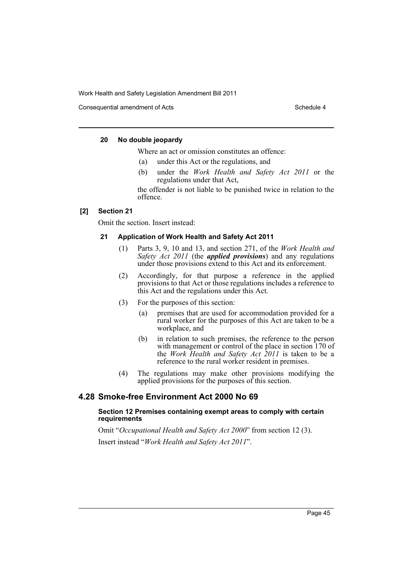Consequential amendment of Acts Schedule 4 and Schedule 4

#### **20 No double jeopardy**

Where an act or omission constitutes an offence:

- (a) under this Act or the regulations, and
- (b) under the *Work Health and Safety Act 2011* or the regulations under that Act,

the offender is not liable to be punished twice in relation to the offence.

#### **[2] Section 21**

Omit the section. Insert instead:

#### **21 Application of Work Health and Safety Act 2011**

- (1) Parts 3, 9, 10 and 13, and section 271, of the *Work Health and Safety Act 2011* (the *applied provisions*) and any regulations under those provisions extend to this Act and its enforcement.
- (2) Accordingly, for that purpose a reference in the applied provisions to that Act or those regulations includes a reference to this Act and the regulations under this Act.
- (3) For the purposes of this section:
	- (a) premises that are used for accommodation provided for a rural worker for the purposes of this Act are taken to be a workplace, and
	- (b) in relation to such premises, the reference to the person with management or control of the place in section 170 of the *Work Health and Safety Act 2011* is taken to be a reference to the rural worker resident in premises.
- (4) The regulations may make other provisions modifying the applied provisions for the purposes of this section.

# **4.28 Smoke-free Environment Act 2000 No 69**

#### **Section 12 Premises containing exempt areas to comply with certain requirements**

Omit "*Occupational Health and Safety Act 2000*" from section 12 (3). Insert instead "*Work Health and Safety Act 2011*".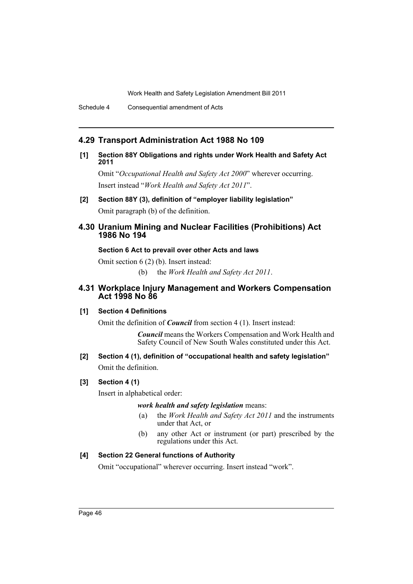# **4.29 Transport Administration Act 1988 No 109**

**[1] Section 88Y Obligations and rights under Work Health and Safety Act 2011**

Omit "*Occupational Health and Safety Act 2000*" wherever occurring. Insert instead "*Work Health and Safety Act 2011*".

**[2] Section 88Y (3), definition of "employer liability legislation"** Omit paragraph (b) of the definition.

# **4.30 Uranium Mining and Nuclear Facilities (Prohibitions) Act 1986 No 194**

# **Section 6 Act to prevail over other Acts and laws**

Omit section 6 (2) (b). Insert instead:

(b) the *Work Health and Safety Act 2011*.

# **4.31 Workplace Injury Management and Workers Compensation Act 1998 No 86**

# **[1] Section 4 Definitions**

Omit the definition of *Council* from section 4 (1). Insert instead:

*Council* means the Workers Compensation and Work Health and Safety Council of New South Wales constituted under this Act.

# **[2] Section 4 (1), definition of "occupational health and safety legislation"** Omit the definition.

# **[3] Section 4 (1)**

Insert in alphabetical order:

*work health and safety legislation* means:

- (a) the *Work Health and Safety Act 2011* and the instruments under that Act, or
- (b) any other Act or instrument (or part) prescribed by the regulations under this Act.

# **[4] Section 22 General functions of Authority**

Omit "occupational" wherever occurring. Insert instead "work".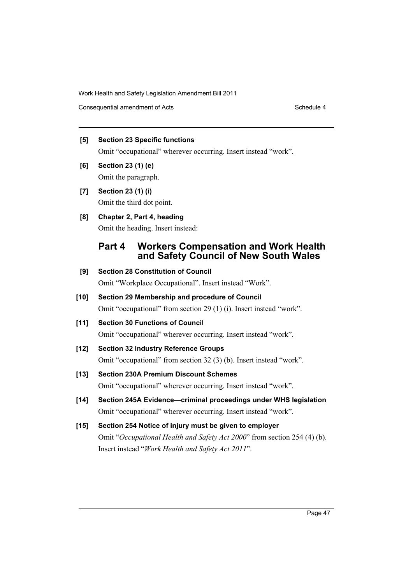Consequential amendment of Acts Schedule 4

# **[5] Section 23 Specific functions**

Omit "occupational" wherever occurring. Insert instead "work".

- **[6] Section 23 (1) (e)** Omit the paragraph.
- **[7] Section 23 (1) (i)** Omit the third dot point.

# **[8] Chapter 2, Part 4, heading**

Omit the heading. Insert instead:

# **Part 4 Workers Compensation and Work Health and Safety Council of New South Wales**

**[9] Section 28 Constitution of Council** Omit "Workplace Occupational". Insert instead "Work". **[10] Section 29 Membership and procedure of Council** Omit "occupational" from section 29 (1) (i). Insert instead "work". **[11] Section 30 Functions of Council** Omit "occupational" wherever occurring. Insert instead "work". **[12] Section 32 Industry Reference Groups**

Omit "occupational" from section 32 (3) (b). Insert instead "work".

# **[13] Section 230A Premium Discount Schemes**

Omit "occupational" wherever occurring. Insert instead "work".

- **[14] Section 245A Evidence—criminal proceedings under WHS legislation** Omit "occupational" wherever occurring. Insert instead "work".
- **[15] Section 254 Notice of injury must be given to employer** Omit "*Occupational Health and Safety Act 2000*" from section 254 (4) (b). Insert instead "*Work Health and Safety Act 2011*".